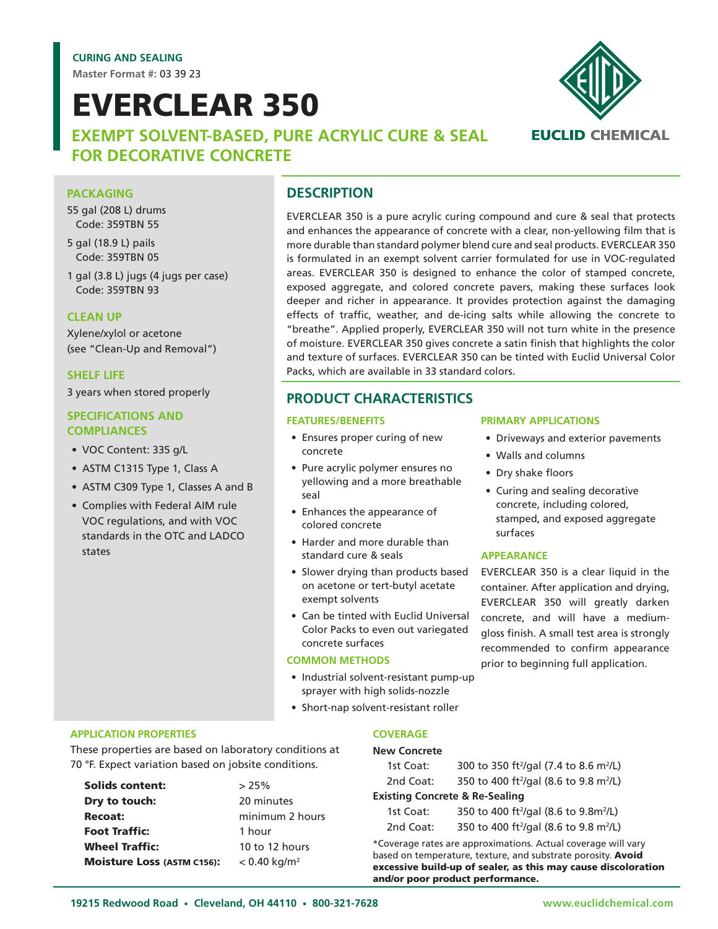**Master Format #:** 03 39 23

# EVERCLEAR 350

**EXEMPT SOLVENT-BASED, PURE ACRYLIC CURE & SEAL FOR DECORATIVE CONCRETE**

# **PACKAGING**

55 gal (208 L) drums Code: 359TBN 55

5 gal (18.9 L) pails Code: 359TBN 05

1 gal (3.8 L) jugs (4 jugs per case) Code: 359TBN 93

#### **CLEAN UP**

Xylene/xylol or acetone (see "Clean-Up and Removal")

#### **SHELF LIFE**

3 years when stored properly

#### **SPECIFICATIONS AND COMPLIANCES**

- VOC Content: 335 g/L
- ASTM C1315 Type 1, Class A
- ASTM C309 Type 1, Classes A and B
- Complies with Federal AIM rule VOC regulations, and with VOC standards in the OTC and LADCO states

# **DESCRIPTION**

EVERCLEAR 350 is a pure acrylic curing compound and cure & seal that protects and enhances the appearance of concrete with a clear, non-yellowing film that is more durable than standard polymer blend cure and seal products. EVERCLEAR 350 is formulated in an exempt solvent carrier formulated for use in VOC-regulated areas. EVERCLEAR 350 is designed to enhance the color of stamped concrete, exposed aggregate, and colored concrete pavers, making these surfaces look deeper and richer in appearance. It provides protection against the damaging effects of traffic, weather, and de-icing salts while allowing the concrete to "breathe". Applied properly, EVERCLEAR 350 will not turn white in the presence of moisture. EVERCLEAR 350 gives concrete a satin finish that highlights the color and texture of surfaces. EVERCLEAR 350 can be tinted with Euclid Universal Color Packs, which are available in 33 standard colors.

### **PRODUCT CHARACTERISTICS**

#### **FEATURES/BENEFITS**

- Ensures proper curing of new concrete
- Pure acrylic polymer ensures no yellowing and a more breathable seal
- Enhances the appearance of colored concrete
- Harder and more durable than standard cure & seals
- Slower drying than products based on acetone or tert-butyl acetate exempt solvents
- Can be tinted with Euclid Universal Color Packs to even out variegated concrete surfaces

#### **COMMON METHODS**

- Industrial solvent-resistant pump-up sprayer with high solids-nozzle
- Short-nap solvent-resistant roller

#### **APPLICATION PROPERTIES**

These properties are based on laboratory conditions at 70 °F. Expect variation based on jobsite conditions.

Solids content:  $>25\%$ **Dry to touch:** 20 minutes Recoat: minimum 2 hours Foot Traffic: 1 hour Wheel Traffic: 10 to 12 hours **Moisture Loss (ASTM C156):**  $< 0.40$  kg/m<sup>2</sup>

#### **PRIMARY APPLICATIONS**

- Driveways and exterior pavements
- Walls and columns
- Dry shake floors
- Curing and sealing decorative concrete, including colored, stamped, and exposed aggregate surfaces

#### **APPEARANCE**

EVERCLEAR 350 is a clear liquid in the container. After application and drying, EVERCLEAR 350 will greatly darken concrete, and will have a mediumgloss finish. A small test area is strongly recommended to confirm appearance prior to beginning full application.

#### **COVERAGE**

#### **New Concrete**

| 1st Coat:                                 | 300 to 350 ft <sup>2</sup> /gal (7.4 to 8.6 m <sup>2</sup> /L) |
|-------------------------------------------|----------------------------------------------------------------|
| 2nd Coat:                                 | 350 to 400 ft <sup>2</sup> /gal (8.6 to 9.8 m <sup>2</sup> /L) |
| <b>Existing Concrete &amp; Re-Sealing</b> |                                                                |
| 1st Coat:                                 | 350 to 400 ft <sup>2</sup> /gal (8.6 to 9.8m <sup>2</sup> /L)  |
| 2nd Coat:                                 | 350 to 400 ft <sup>2</sup> /gal (8.6 to 9.8 m <sup>2</sup> /L) |

\*Coverage rates are approximations. Actual coverage will vary based on temperature, texture, and substrate porosity. Avoid excessive build-up of sealer, as this may cause discoloration

and/or poor product performance.